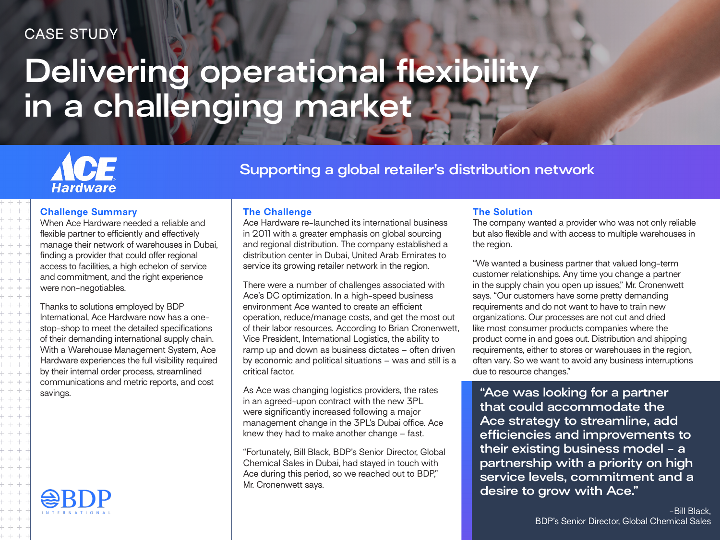## CASE STUDY

# **Delivering operational flexibility in a challenging market**

## CF **Hardware**

**Supporting a global retailer's distribution network**

## **Challenge Summary**

When Ace Hardware needed a reliable and flexible partner to efficiently and effectively manage their network of warehouses in Dubai, finding a provider that could offer regional access to facilities, a high echelon of service and commitment, and the right experience were non-negotiables.

Thanks to solutions employed by BDP International, Ace Hardware now has a onestop-shop to meet the detailed specifications of their demanding international supply chain. With a Warehouse Management System, Ace Hardware experiences the full visibility required by their internal order process, streamlined communications and metric reports, and cost

## **The Challenge**

Ace Hardware re-launched its international business in 2011 with a greater emphasis on global sourcing and regional distribution. The company established a distribution center in Dubai, United Arab Emirates to service its growing retailer network in the region.

There were a number of challenges associated with Ace's DC optimization. In a high-speed business environment Ace wanted to create an efficient operation, reduce/manage costs, and get the most out of their labor resources. According to Brian Cronenwett, Vice President, International Logistics, the ability to ramp up and down as business dictates – often driven by economic and political situations – was and still is a critical factor.

As Ace was changing logistics providers, the rates in an agreed-upon contract with the new 3PL were significantly increased following a major management change in the 3PL's Dubai office. Ace knew they had to make another change – fast. savings. **The same of the same of the same of the same of the same of the same of the same of the same of the same of the same of the same of the same of the same of the same of the same of the same of the same of the same** 

> "Fortunately, Bill Black, BDP's Senior Director, Global Chemical Sales in Dubai, had stayed in touch with Ace during this period, so we reached out to BDP," Mr. Cronenwett says.

## **The Solution**

The company wanted a provider who was not only reliable but also flexible and with access to multiple warehouses in the region.

"We wanted a business partner that valued long-term customer relationships. Any time you change a partner in the supply chain you open up issues," Mr. Cronenwett says. "Our customers have some pretty demanding requirements and do not want to have to train new organizations. Our processes are not cut and dried like most consumer products companies where the product come in and goes out. Distribution and shipping requirements, either to stores or warehouses in the region, often vary. So we want to avoid any business interruptions due to resource changes."

**that could accommodate the Ace strategy to streamline, add efficiencies and improvements to their existing business model - a partnership with a priority on high service levels, commitment and a desire to grow with Ace."**